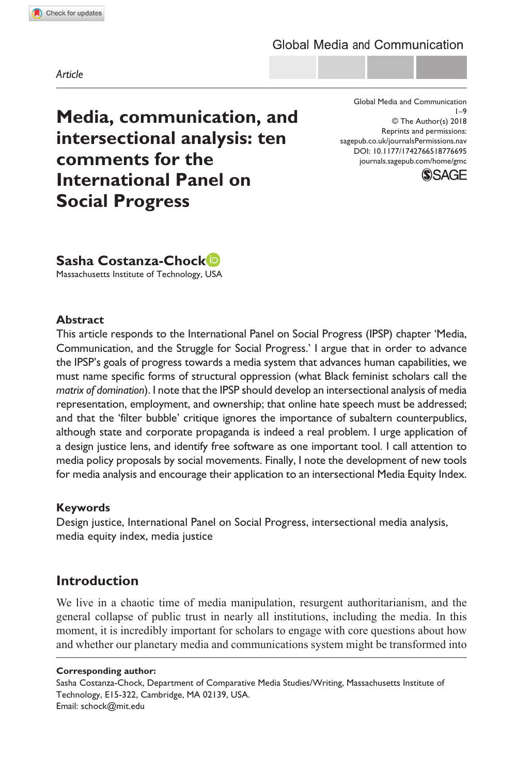**7766[95](http://crossmark.crossref.org/dialog/?doi=10.1177%2F1742766518776695&domain=pdf&date_stamp=2018-05-29)** GMC0010.1177/1742766518776695Global Media and Communication**Costanza-Chock**

*Article*

**Media, communication, and intersectional analysis: ten comments for the International Panel on Social Progress**

https://doi.org/10.1177/1742766518776695 DOI: 10.1177/1742766518776695 Global Media and Communication 1–9 © The Author(s) 2018 Reprints and permissions: [sagepub.co.uk/journalsPermissions.nav](https://uk.sagepub.com/en-gb/journals-permissions) [journals.sagepub.com/home/gmc](https://journals.sagepub.com/home/gmc)



# **Sasha Costanza-Chock**

Massachusetts Institute of Technology, USA

## **Abstract**

This article responds to the International Panel on Social Progress (IPSP) chapter 'Media, Communication, and the Struggle for Social Progress.' I argue that in order to advance the IPSP's goals of progress towards a media system that advances human capabilities, we must name specific forms of structural oppression (what Black feminist scholars call the *matrix of domination*). I note that the IPSP should develop an intersectional analysis of media representation, employment, and ownership; that online hate speech must be addressed; and that the 'filter bubble' critique ignores the importance of subaltern counterpublics, although state and corporate propaganda is indeed a real problem. I urge application of a design justice lens, and identify free software as one important tool. I call attention to media policy proposals by social movements. Finally, I note the development of new tools for media analysis and encourage their application to an intersectional Media Equity Index.

### **Keywords**

Design justice, International Panel on Social Progress, intersectional media analysis, media equity index, media justice

# **Introduction**

We live in a chaotic time of media manipulation, resurgent authoritarianism, and the general collapse of public trust in nearly all institutions, including the media. In this moment, it is incredibly important for scholars to engage with core questions about how and whether our planetary media and communications system might be transformed into

#### **Corresponding author:**

Sasha Costanza-Chock, Department of Comparative Media Studies/Writing, Massachusetts Institute of Technology, E15-322, Cambridge, MA 02139, USA. Email: [schock@mit.edu](mailto:schock@mit.edu)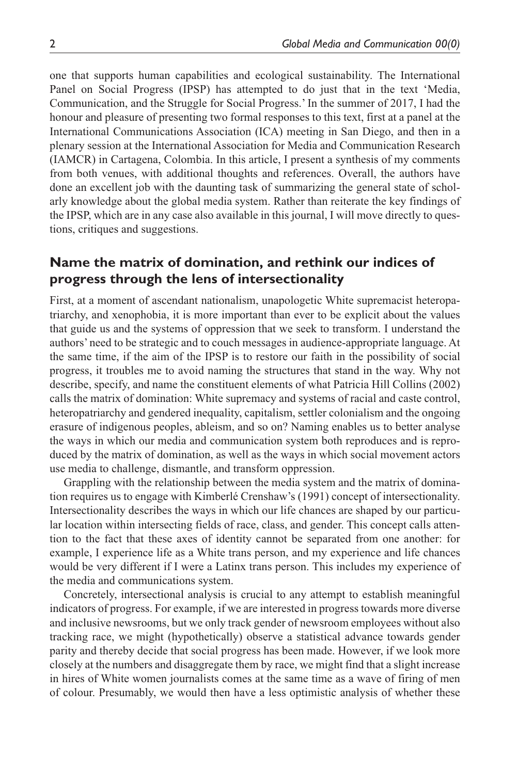one that supports human capabilities and ecological sustainability. The International Panel on Social Progress (IPSP) has attempted to do just that in the text 'Media, Communication, and the Struggle for Social Progress.' In the summer of 2017, I had the honour and pleasure of presenting two formal responses to this text, first at a panel at the International Communications Association (ICA) meeting in San Diego, and then in a plenary session at the International Association for Media and Communication Research (IAMCR) in Cartagena, Colombia. In this article, I present a synthesis of my comments from both venues, with additional thoughts and references. Overall, the authors have done an excellent job with the daunting task of summarizing the general state of scholarly knowledge about the global media system. Rather than reiterate the key findings of the IPSP, which are in any case also available in this journal, I will move directly to questions, critiques and suggestions.

## **Name the matrix of domination, and rethink our indices of progress through the lens of intersectionality**

First, at a moment of ascendant nationalism, unapologetic White supremacist heteropatriarchy, and xenophobia, it is more important than ever to be explicit about the values that guide us and the systems of oppression that we seek to transform. I understand the authors' need to be strategic and to couch messages in audience-appropriate language. At the same time, if the aim of the IPSP is to restore our faith in the possibility of social progress, it troubles me to avoid naming the structures that stand in the way. Why not describe, specify, and name the constituent elements of what Patricia Hill Collins (2002) calls the matrix of domination: White supremacy and systems of racial and caste control, heteropatriarchy and gendered inequality, capitalism, settler colonialism and the ongoing erasure of indigenous peoples, ableism, and so on? Naming enables us to better analyse the ways in which our media and communication system both reproduces and is reproduced by the matrix of domination, as well as the ways in which social movement actors use media to challenge, dismantle, and transform oppression.

Grappling with the relationship between the media system and the matrix of domination requires us to engage with Kimberlé Crenshaw's (1991) concept of intersectionality. Intersectionality describes the ways in which our life chances are shaped by our particular location within intersecting fields of race, class, and gender. This concept calls attention to the fact that these axes of identity cannot be separated from one another: for example, I experience life as a White trans person, and my experience and life chances would be very different if I were a Latinx trans person. This includes my experience of the media and communications system.

Concretely, intersectional analysis is crucial to any attempt to establish meaningful indicators of progress. For example, if we are interested in progress towards more diverse and inclusive newsrooms, but we only track gender of newsroom employees without also tracking race, we might (hypothetically) observe a statistical advance towards gender parity and thereby decide that social progress has been made. However, if we look more closely at the numbers and disaggregate them by race, we might find that a slight increase in hires of White women journalists comes at the same time as a wave of firing of men of colour. Presumably, we would then have a less optimistic analysis of whether these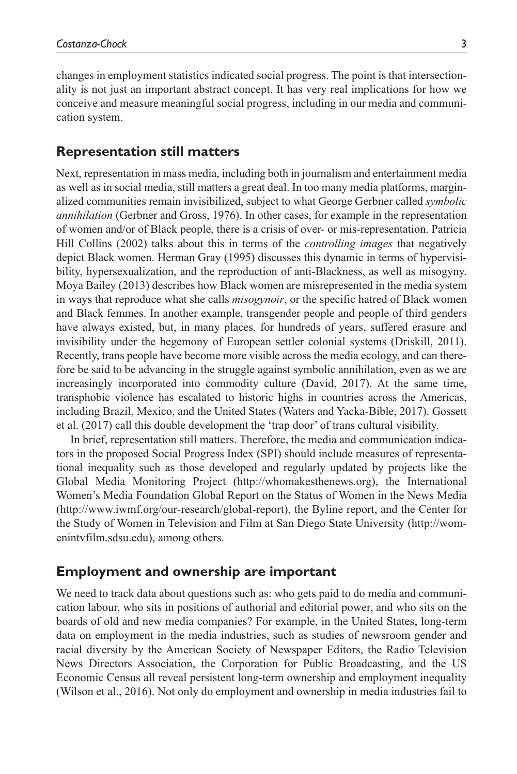changes in employment statistics indicated social progress. The point is that intersectionality is not just an important abstract concept. It has very real implications for how we conceive and measure meaningful social progress, including in our media and communication system.

#### **Representation still matters**

Next, representation in mass media, including both in journalism and entertainment media as well as in social media, still matters a great deal. In too many media platforms, marginalized communities remain invisibilized, subject to what George Gerbner called *symbolic annihilation* (Gerbner and Gross, 1976). In other cases, for example in the representation of women and/or of Black people, there is a crisis of over- or mis-representation. Patricia Hill Collins (2002) talks about this in terms of the *controlling images* that negatively depict Black women. Herman Gray (1995) discusses this dynamic in terms of hypervisibility, hypersexualization, and the reproduction of anti-Blackness, as well as misogyny. Moya Bailey (2013) describes how Black women are misrepresented in the media system in ways that reproduce what she calls *misogynoir*, or the specific hatred of Black women and Black femmes. In another example, transgender people and people of third genders have always existed, but, in many places, for hundreds of years, suffered erasure and invisibility under the hegemony of European settler colonial systems (Driskill, 2011). Recently, trans people have become more visible across the media ecology, and can therefore be said to be advancing in the struggle against symbolic annihilation, even as we are increasingly incorporated into commodity culture (David, 2017). At the same time, transphobic violence has escalated to historic highs in countries across the Americas, including Brazil, Mexico, and the United States (Waters and Yacka-Bible, 2017). Gossett et al. (2017) call this double development the 'trap door' of trans cultural visibility.

In brief, representation still matters. Therefore, the media and communication indicators in the proposed Social Progress Index (SPI) should include measures of representational inequality such as those developed and regularly updated by projects like the Global Media Monitoring Project [\(http://whomakesthenews.org](http://whomakesthenews.org)), the International Women's Media Foundation Global Report on the Status of Women in the News Media (<http://www.iwmf.org/our-research/global-report>), the Byline report, and the Center for the Study of Women in Television and Film at San Diego State University [\(http://wom](http://womenintvfilm.sdsu.edu)[enintvfilm.sdsu.edu](http://womenintvfilm.sdsu.edu)), among others.

#### **Employment and ownership are important**

We need to track data about questions such as: who gets paid to do media and communication labour, who sits in positions of authorial and editorial power, and who sits on the boards of old and new media companies? For example, in the United States, long-term data on employment in the media industries, such as studies of newsroom gender and racial diversity by the American Society of Newspaper Editors, the Radio Television News Directors Association, the Corporation for Public Broadcasting, and the US Economic Census all reveal persistent long-term ownership and employment inequality (Wilson et al., 2016). Not only do employment and ownership in media industries fail to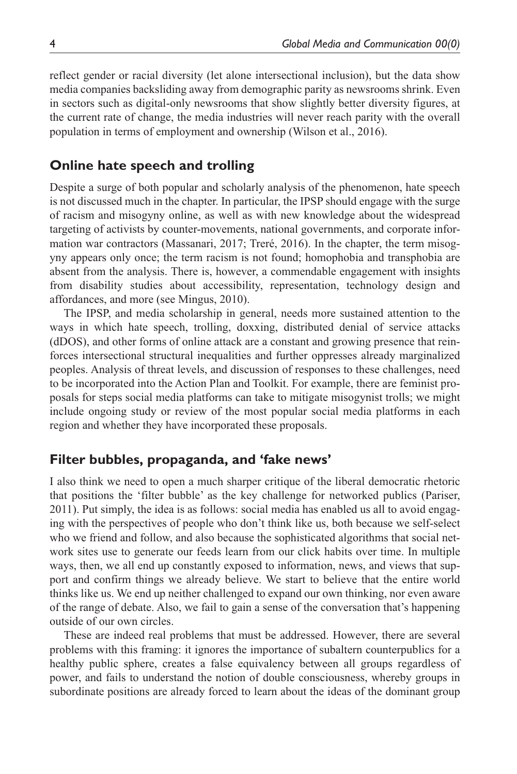reflect gender or racial diversity (let alone intersectional inclusion), but the data show media companies backsliding away from demographic parity as newsrooms shrink. Even in sectors such as digital-only newsrooms that show slightly better diversity figures, at the current rate of change, the media industries will never reach parity with the overall population in terms of employment and ownership (Wilson et al., 2016).

# **Online hate speech and trolling**

Despite a surge of both popular and scholarly analysis of the phenomenon, hate speech is not discussed much in the chapter. In particular, the IPSP should engage with the surge of racism and misogyny online, as well as with new knowledge about the widespread targeting of activists by counter-movements, national governments, and corporate information war contractors (Massanari, 2017; Treré, 2016). In the chapter, the term misogyny appears only once; the term racism is not found; homophobia and transphobia are absent from the analysis. There is, however, a commendable engagement with insights from disability studies about accessibility, representation, technology design and affordances, and more (see Mingus, 2010).

The IPSP, and media scholarship in general, needs more sustained attention to the ways in which hate speech, trolling, doxxing, distributed denial of service attacks (dDOS), and other forms of online attack are a constant and growing presence that reinforces intersectional structural inequalities and further oppresses already marginalized peoples. Analysis of threat levels, and discussion of responses to these challenges, need to be incorporated into the Action Plan and Toolkit. For example, there are feminist proposals for steps social media platforms can take to mitigate misogynist trolls; we might include ongoing study or review of the most popular social media platforms in each region and whether they have incorporated these proposals.

## **Filter bubbles, propaganda, and 'fake news'**

I also think we need to open a much sharper critique of the liberal democratic rhetoric that positions the 'filter bubble' as the key challenge for networked publics (Pariser, 2011). Put simply, the idea is as follows: social media has enabled us all to avoid engaging with the perspectives of people who don't think like us, both because we self-select who we friend and follow, and also because the sophisticated algorithms that social network sites use to generate our feeds learn from our click habits over time. In multiple ways, then, we all end up constantly exposed to information, news, and views that support and confirm things we already believe. We start to believe that the entire world thinks like us. We end up neither challenged to expand our own thinking, nor even aware of the range of debate. Also, we fail to gain a sense of the conversation that's happening outside of our own circles.

These are indeed real problems that must be addressed. However, there are several problems with this framing: it ignores the importance of subaltern counterpublics for a healthy public sphere, creates a false equivalency between all groups regardless of power, and fails to understand the notion of double consciousness, whereby groups in subordinate positions are already forced to learn about the ideas of the dominant group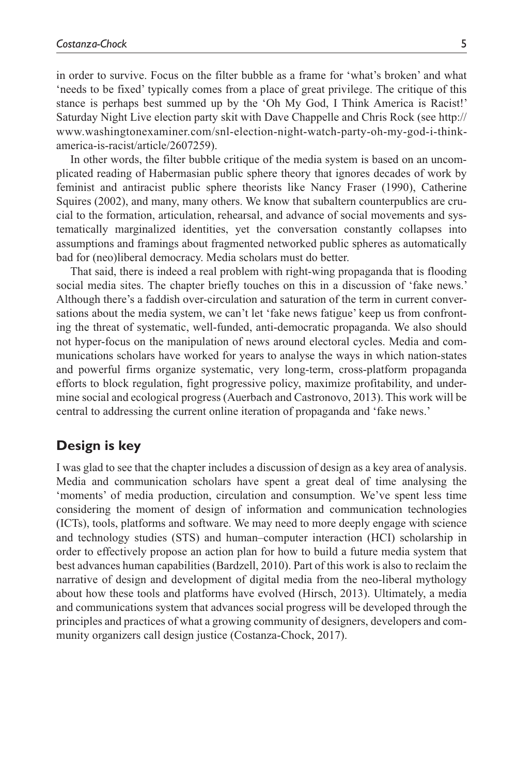in order to survive. Focus on the filter bubble as a frame for 'what's broken' and what 'needs to be fixed' typically comes from a place of great privilege. The critique of this stance is perhaps best summed up by the 'Oh My God, I Think America is Racist!' Saturday Night Live election party skit with Dave Chappelle and Chris Rock (see [http://](http://www.washingtonexaminer.com/snl-election-night-watch-party-oh-my-god-i-think-america-is-racist/article/2607259) [www.washingtonexaminer.com/snl-election-night-watch-party-oh-my-god-i-think](http://www.washingtonexaminer.com/snl-election-night-watch-party-oh-my-god-i-think-america-is-racist/article/2607259)[america-is-racist/article/2607259](http://www.washingtonexaminer.com/snl-election-night-watch-party-oh-my-god-i-think-america-is-racist/article/2607259)).

In other words, the filter bubble critique of the media system is based on an uncomplicated reading of Habermasian public sphere theory that ignores decades of work by feminist and antiracist public sphere theorists like Nancy Fraser (1990), Catherine Squires (2002), and many, many others. We know that subaltern counterpublics are crucial to the formation, articulation, rehearsal, and advance of social movements and systematically marginalized identities, yet the conversation constantly collapses into assumptions and framings about fragmented networked public spheres as automatically bad for (neo)liberal democracy. Media scholars must do better.

That said, there is indeed a real problem with right-wing propaganda that is flooding social media sites. The chapter briefly touches on this in a discussion of 'fake news.' Although there's a faddish over-circulation and saturation of the term in current conversations about the media system, we can't let 'fake news fatigue' keep us from confronting the threat of systematic, well-funded, anti-democratic propaganda. We also should not hyper-focus on the manipulation of news around electoral cycles. Media and communications scholars have worked for years to analyse the ways in which nation-states and powerful firms organize systematic, very long-term, cross-platform propaganda efforts to block regulation, fight progressive policy, maximize profitability, and undermine social and ecological progress (Auerbach and Castronovo, 2013). This work will be central to addressing the current online iteration of propaganda and 'fake news.'

### **Design is key**

I was glad to see that the chapter includes a discussion of design as a key area of analysis. Media and communication scholars have spent a great deal of time analysing the 'moments' of media production, circulation and consumption. We've spent less time considering the moment of design of information and communication technologies (ICTs), tools, platforms and software. We may need to more deeply engage with science and technology studies (STS) and human–computer interaction (HCI) scholarship in order to effectively propose an action plan for how to build a future media system that best advances human capabilities (Bardzell, 2010). Part of this work is also to reclaim the narrative of design and development of digital media from the neo-liberal mythology about how these tools and platforms have evolved (Hirsch, 2013). Ultimately, a media and communications system that advances social progress will be developed through the principles and practices of what a growing community of designers, developers and community organizers call design justice (Costanza-Chock, 2017).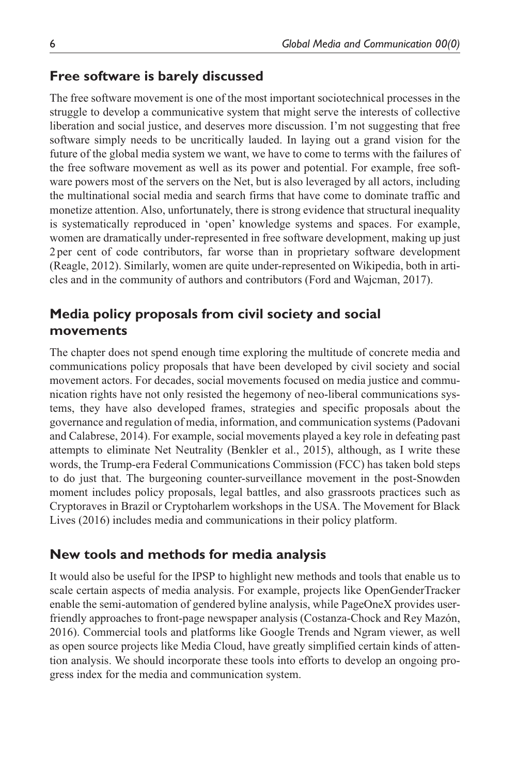### **Free software is barely discussed**

The free software movement is one of the most important sociotechnical processes in the struggle to develop a communicative system that might serve the interests of collective liberation and social justice, and deserves more discussion. I'm not suggesting that free software simply needs to be uncritically lauded. In laying out a grand vision for the future of the global media system we want, we have to come to terms with the failures of the free software movement as well as its power and potential. For example, free software powers most of the servers on the Net, but is also leveraged by all actors, including the multinational social media and search firms that have come to dominate traffic and monetize attention. Also, unfortunately, there is strong evidence that structural inequality is systematically reproduced in 'open' knowledge systems and spaces. For example, women are dramatically under-represented in free software development, making up just 2per cent of code contributors, far worse than in proprietary software development (Reagle, 2012). Similarly, women are quite under-represented on Wikipedia, both in articles and in the community of authors and contributors (Ford and Wajcman, 2017).

# **Media policy proposals from civil society and social movements**

The chapter does not spend enough time exploring the multitude of concrete media and communications policy proposals that have been developed by civil society and social movement actors. For decades, social movements focused on media justice and communication rights have not only resisted the hegemony of neo-liberal communications systems, they have also developed frames, strategies and specific proposals about the governance and regulation of media, information, and communication systems (Padovani and Calabrese, 2014). For example, social movements played a key role in defeating past attempts to eliminate Net Neutrality (Benkler et al., 2015), although, as I write these words, the Trump-era Federal Communications Commission (FCC) has taken bold steps to do just that. The burgeoning counter-surveillance movement in the post-Snowden moment includes policy proposals, legal battles, and also grassroots practices such as Cryptoraves in Brazil or Cryptoharlem workshops in the USA. The Movement for Black Lives (2016) includes media and communications in their policy platform.

## **New tools and methods for media analysis**

It would also be useful for the IPSP to highlight new methods and tools that enable us to scale certain aspects of media analysis. For example, projects like OpenGenderTracker enable the semi-automation of gendered byline analysis, while PageOneX provides userfriendly approaches to front-page newspaper analysis (Costanza-Chock and Rey Mazón, 2016). Commercial tools and platforms like Google Trends and Ngram viewer, as well as open source projects like Media Cloud, have greatly simplified certain kinds of attention analysis. We should incorporate these tools into efforts to develop an ongoing progress index for the media and communication system.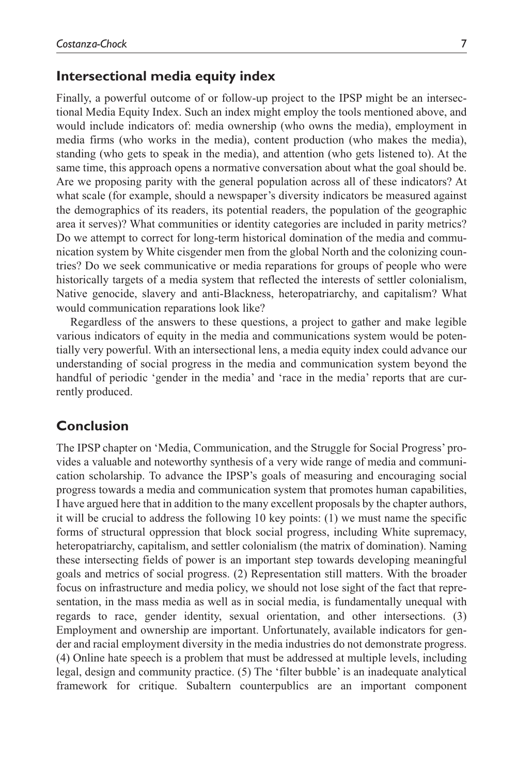#### **Intersectional media equity index**

Finally, a powerful outcome of or follow-up project to the IPSP might be an intersectional Media Equity Index. Such an index might employ the tools mentioned above, and would include indicators of: media ownership (who owns the media), employment in media firms (who works in the media), content production (who makes the media), standing (who gets to speak in the media), and attention (who gets listened to). At the same time, this approach opens a normative conversation about what the goal should be. Are we proposing parity with the general population across all of these indicators? At what scale (for example, should a newspaper's diversity indicators be measured against the demographics of its readers, its potential readers, the population of the geographic area it serves)? What communities or identity categories are included in parity metrics? Do we attempt to correct for long-term historical domination of the media and communication system by White cisgender men from the global North and the colonizing countries? Do we seek communicative or media reparations for groups of people who were historically targets of a media system that reflected the interests of settler colonialism, Native genocide, slavery and anti-Blackness, heteropatriarchy, and capitalism? What would communication reparations look like?

Regardless of the answers to these questions, a project to gather and make legible various indicators of equity in the media and communications system would be potentially very powerful. With an intersectional lens, a media equity index could advance our understanding of social progress in the media and communication system beyond the handful of periodic 'gender in the media' and 'race in the media' reports that are currently produced.

### **Conclusion**

The IPSP chapter on 'Media, Communication, and the Struggle for Social Progress' provides a valuable and noteworthy synthesis of a very wide range of media and communication scholarship. To advance the IPSP's goals of measuring and encouraging social progress towards a media and communication system that promotes human capabilities, I have argued here that in addition to the many excellent proposals by the chapter authors, it will be crucial to address the following 10 key points: (1) we must name the specific forms of structural oppression that block social progress, including White supremacy, heteropatriarchy, capitalism, and settler colonialism (the matrix of domination). Naming these intersecting fields of power is an important step towards developing meaningful goals and metrics of social progress. (2) Representation still matters. With the broader focus on infrastructure and media policy, we should not lose sight of the fact that representation, in the mass media as well as in social media, is fundamentally unequal with regards to race, gender identity, sexual orientation, and other intersections. (3) Employment and ownership are important. Unfortunately, available indicators for gender and racial employment diversity in the media industries do not demonstrate progress. (4) Online hate speech is a problem that must be addressed at multiple levels, including legal, design and community practice. (5) The 'filter bubble' is an inadequate analytical framework for critique. Subaltern counterpublics are an important component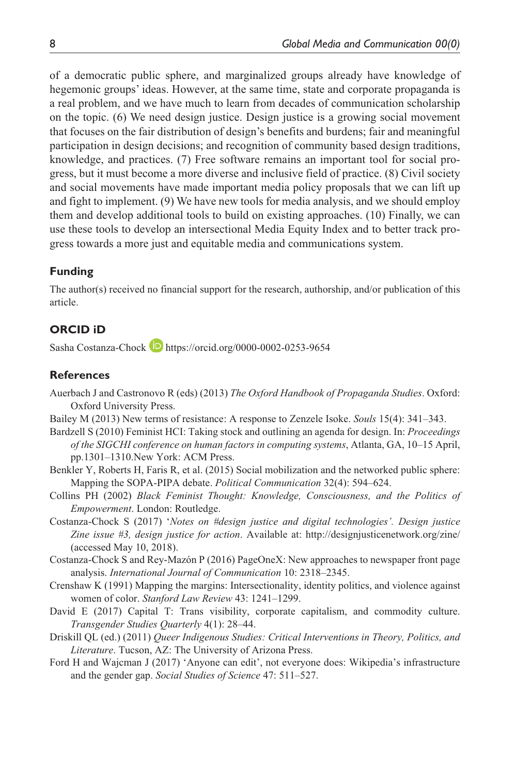of a democratic public sphere, and marginalized groups already have knowledge of hegemonic groups' ideas. However, at the same time, state and corporate propaganda is a real problem, and we have much to learn from decades of communication scholarship on the topic. (6) We need design justice. Design justice is a growing social movement that focuses on the fair distribution of design's benefits and burdens; fair and meaningful participation in design decisions; and recognition of community based design traditions, knowledge, and practices. (7) Free software remains an important tool for social progress, but it must become a more diverse and inclusive field of practice. (8) Civil society and social movements have made important media policy proposals that we can lift up and fight to implement. (9) We have new tools for media analysis, and we should employ them and develop additional tools to build on existing approaches. (10) Finally, we can use these tools to develop an intersectional Media Equity Index and to better track progress towards a more just and equitable media and communications system.

#### **Funding**

The author(s) received no financial support for the research, authorship, and/or publication of this article.

## **ORCID iD**

Sasha Costanza-Chock D <https://orcid.org/0000-0002-0253-9654>

#### **References**

- Auerbach J and Castronovo R (eds) (2013) *The Oxford Handbook of Propaganda Studies*. Oxford: Oxford University Press.
- Bailey M (2013) New terms of resistance: A response to Zenzele Isoke. *Souls* 15(4): 341–343.
- Bardzell S (2010) Feminist HCI: Taking stock and outlining an agenda for design. In: *Proceedings of the SIGCHI conference on human factors in computing systems*, Atlanta, GA, 10–15 April, pp.1301–1310.New York: ACM Press.
- Benkler Y, Roberts H, Faris R, et al. (2015) Social mobilization and the networked public sphere: Mapping the SOPA-PIPA debate. *Political Communication* 32(4): 594–624.
- Collins PH (2002) *Black Feminist Thought: Knowledge, Consciousness, and the Politics of Empowerment*. London: Routledge.
- Costanza-Chock S (2017) '*Notes on #design justice and digital technologies'. Design justice Zine issue #3, design justice for action*. Available at: <http://designjusticenetwork.org/zine/> (accessed May 10, 2018).
- Costanza-Chock S and Rey-Mazón P (2016) PageOneX: New approaches to newspaper front page analysis. *International Journal of Communication* 10: 2318–2345.
- Crenshaw K (1991) Mapping the margins: Intersectionality, identity politics, and violence against women of color. *Stanford Law Review* 43: 1241–1299.
- David E (2017) Capital T: Trans visibility, corporate capitalism, and commodity culture. *Transgender Studies Quarterly* 4(1): 28–44.
- Driskill QL (ed.) (2011) *Queer Indigenous Studies: Critical Interventions in Theory, Politics, and Literature*. Tucson, AZ: The University of Arizona Press.
- Ford H and Wajcman J (2017) 'Anyone can edit', not everyone does: Wikipedia's infrastructure and the gender gap. *Social Studies of Science* 47: 511–527.